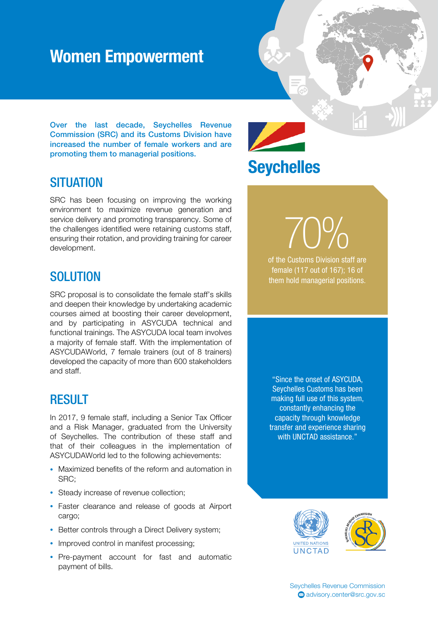### Women Empowerment

Over the last decade, Seychelles Revenue Commission (SRC) and its Customs Division have increased the number of female workers and are promoting them to managerial positions.

# **Seychelles**

#### **SITUATION**

SRC has been focusing on improving the working environment to maximize revenue generation and service delivery and promoting transparency. Some of the challenges identified were retaining customs staff, ensuring their rotation, and providing training for career development.

#### **SOLUTION**

SRC proposal is to consolidate the female staff's skills and deepen their knowledge by undertaking academic courses aimed at boosting their career development, and by participating in ASYCUDA technical and functional trainings. The ASYCUDA local team involves a majority of female staff. With the implementation of ASYCUDAWorld, 7 female trainers (out of 8 trainers) developed the capacity of more than 600 stakeholders and staff.

#### RESULT

In 2017, 9 female staff, including a Senior Tax Officer and a Risk Manager, graduated from the University of Seychelles. The contribution of these staff and that of their colleagues in the implementation of ASYCUDAWorld led to the following achievements:

- Maximized benefits of the reform and automation in SRC;
- Steady increase of revenue collection;
- Faster clearance and release of goods at Airport cargo;
- Better controls through a Direct Delivery system;
- Improved control in manifest processing;
- Pre-payment account for fast and automatic payment of bills.

"Since the onset of ASYCUDA, Seychelles Customs has been making full use of this system, constantly enhancing the capacity through knowledge transfer and experience sharing with UNCTAD assistance."

of the Customs Division staff are

female (117 out of 167); 16 of them hold managerial positions.

70%